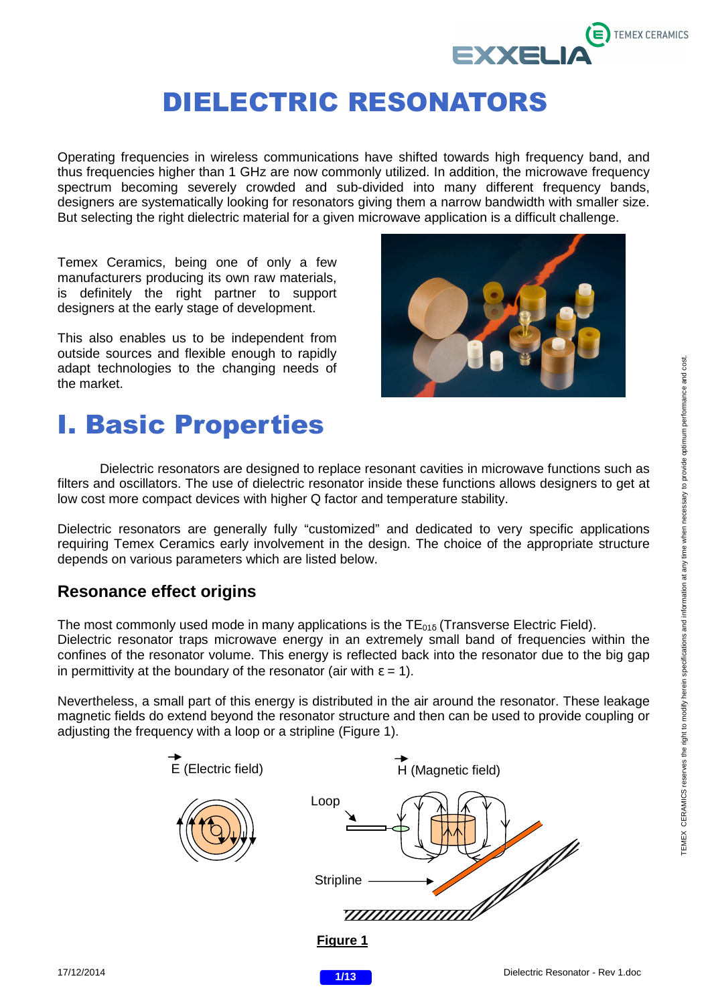

Operating frequencies in wireless communications have shifted towards high frequency band, and thus frequencies higher than 1 GHz are now commonly utilized. In addition, the microwave frequency spectrum becoming severely crowded and sub-divided into many different frequency bands, designers are systematically looking for resonators giving them a narrow bandwidth with smaller size. But selecting the right dielectric material for a given microwave application is a difficult challenge.

Temex Ceramics, being one of only a few manufacturers producing its own raw materials, is definitely the right partner to support designers at the early stage of development.

This also enables us to be independent from outside sources and flexible enough to rapidly adapt technologies to the changing needs of the market.



## I. Basic Properties

Dielectric resonators are designed to replace resonant cavities in microwave functions such as filters and oscillators. The use of dielectric resonator inside these functions allows designers to get at low cost more compact devices with higher Q factor and temperature stability.

Dielectric resonators are generally fully "customized" and dedicated to very specific applications requiring Temex Ceramics early involvement in the design. The choice of the appropriate structure depends on various parameters which are listed below.

#### **Resonance effect origins**

The most commonly used mode in many applications is the  $TE_{01\delta}$  (Transverse Electric Field). Dielectric resonator traps microwave energy in an extremely small band of frequencies within the confines of the resonator volume. This energy is reflected back into the resonator due to the big gap in permittivity at the boundary of the resonator (air with  $\varepsilon = 1$ ).

Nevertheless, a small part of this energy is distributed in the air around the resonator. These leakage magnetic fields do extend beyond the resonator structure and then can be used to provide coupling or adjusting the frequency with a loop or a stripline (Figure 1).



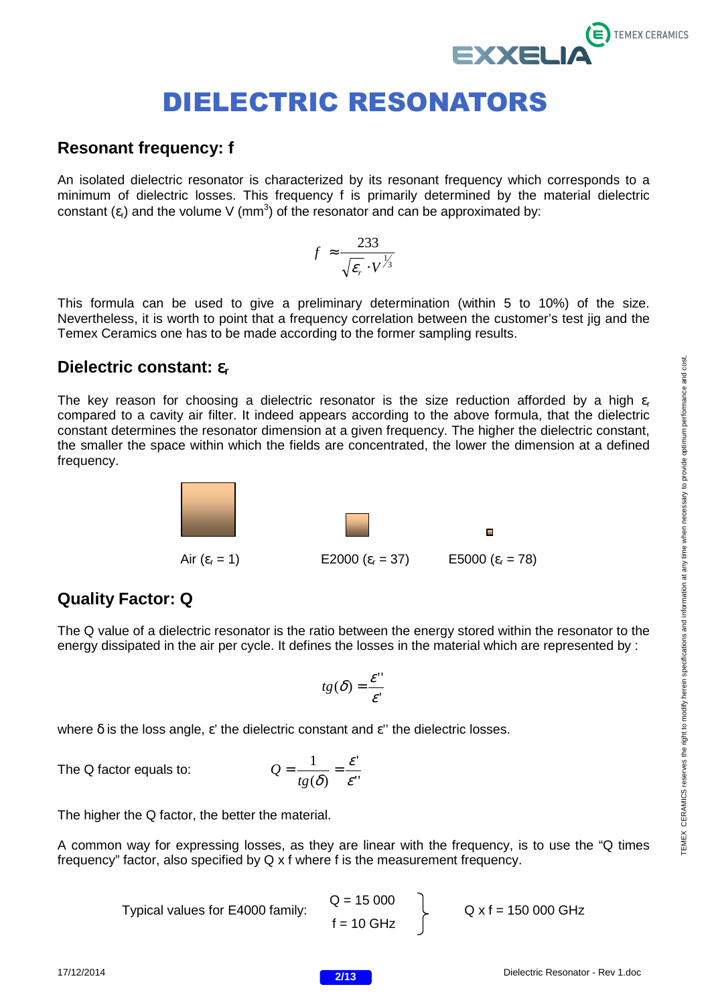#### **Resonant frequency: f**

An isolated dielectric resonator is characterized by its resonant frequency which corresponds to a minimum of dielectric losses. This frequency f is primarily determined by the material dielectric constant  $(\varepsilon_r)$  and the volume V (mm<sup>3</sup>) of the resonator and can be approximated by:

$$
f \approx \frac{233}{\sqrt{\varepsilon_r} \cdot V^{\frac{1}{3}}}
$$

This formula can be used to give a preliminary determination (within 5 to 10%) of the size. Nevertheless, it is worth to point that a frequency correlation between the customer's test jig and the Temex Ceramics one has to be made according to the former sampling results.

#### **Dielectric constant:** ε**<sup>r</sup>**

The key reason for choosing a dielectric resonator is the size reduction afforded by a high  $\varepsilon_r$ compared to a cavity air filter. It indeed appears according to the above formula, that the dielectric constant determines the resonator dimension at a given frequency. The higher the dielectric constant, the smaller the space within which the fields are concentrated, the lower the dimension at a defined frequency.



#### **Quality Factor: Q**

The Q value of a dielectric resonator is the ratio between the energy stored within the resonator to the energy dissipated in the air per cycle. It defines the losses in the material which are represented by :

$$
tg(\delta) = \frac{\mathcal{E}''}{\mathcal{E}'}
$$

where  $\delta$  is the loss angle,  $\varepsilon'$  the dielectric constant and  $\varepsilon''$  the dielectric losses.

The Q factor equals to:

$$
Q = \frac{1}{tg(\delta)} = \frac{\varepsilon'}{\varepsilon''}
$$

The higher the Q factor, the better the material.

A common way for expressing losses, as they are linear with the frequency, is to use the "Q times frequency" factor, also specified by Q x f where f is the measurement frequency.

> $Q = 15,000$  $f = 10$  GHz Typical values for E4000 family:  $Q = 150000$  L  $Q \times f = 150000$  GHz

**TEMEX CERAMICS** 

**EXXELI**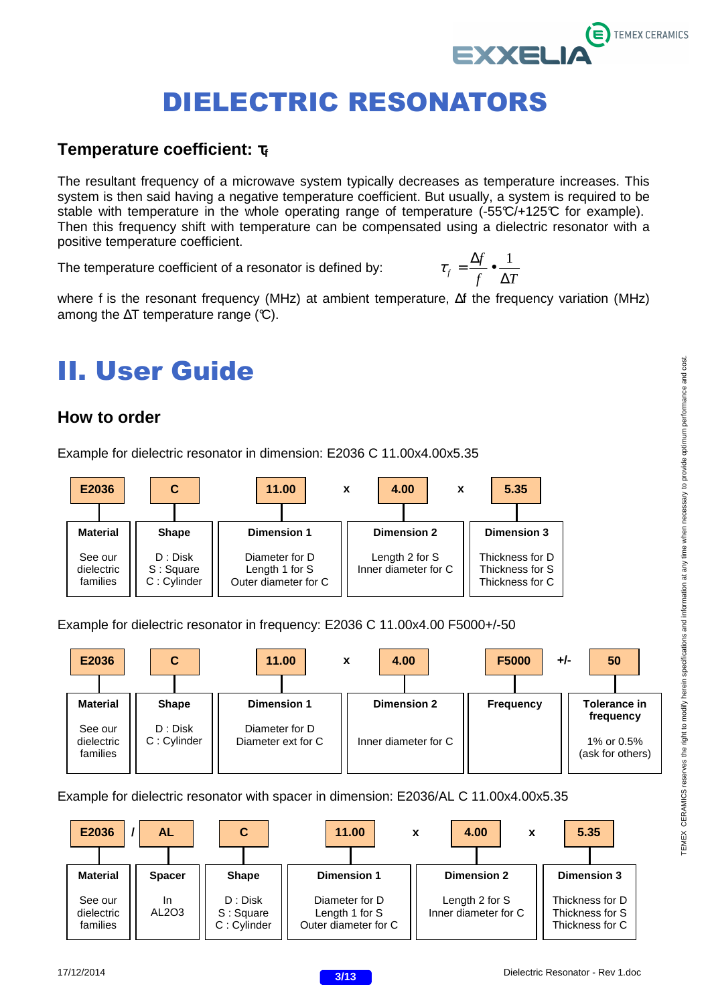#### **Temperature coefficient:**  $τ<sub>f</sub>$

The resultant frequency of a microwave system typically decreases as temperature increases. This system is then said having a negative temperature coefficient. But usually, a system is required to be stable with temperature in the whole operating range of temperature (-55°C/+125°C for example). Then this frequency shift with temperature can be compensated using a dielectric resonator with a positive temperature coefficient.

The temperature coefficient of a resonator is defined by:

$$
\tau_f = \frac{\Delta f}{f} \bullet \frac{1}{\Delta T}
$$

**EXXELI** 

where f is the resonant frequency (MHz) at ambient temperature, ∆f the frequency variation (MHz) among the  $\Delta T$  temperature range (°C).

# II. User Guide

#### **How to order**

Example for dielectric resonator in dimension: E2036 C 11.00x4.00x5.35



#### Example for dielectric resonator in frequency: E2036 C 11.00x4.00 F5000+/-50



Example for dielectric resonator with spacer in dimension: E2036/AL C 11.00x4.00x5.35



TEMEX CERAMICS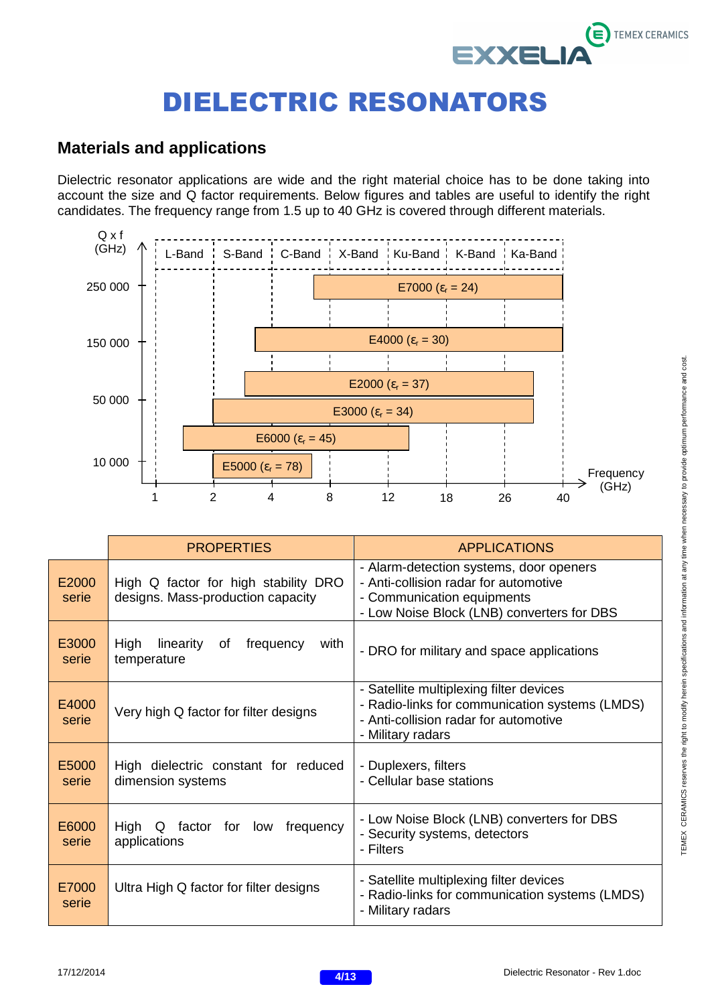### **E** TEMEX CERAMICS EXXELI

# DIELECTRIC RESONATORS

### **Materials and applications**

Dielectric resonator applications are wide and the right material choice has to be done taking into account the size and Q factor requirements. Below figures and tables are useful to identify the right candidates. The frequency range from 1.5 up to 40 GHz is covered through different materials.



|                | <b>PROPERTIES</b>                                                         | <b>APPLICATIONS</b>                                                                                                                                          |
|----------------|---------------------------------------------------------------------------|--------------------------------------------------------------------------------------------------------------------------------------------------------------|
| E2000<br>serie | High Q factor for high stability DRO<br>designs. Mass-production capacity | - Alarm-detection systems, door openers<br>- Anti-collision radar for automotive<br>- Communication equipments<br>- Low Noise Block (LNB) converters for DBS |
| E3000<br>serie | High<br>with<br>linearity<br>of<br>frequency<br>temperature               | - DRO for military and space applications                                                                                                                    |
| E4000<br>serie | Very high Q factor for filter designs                                     | - Satellite multiplexing filter devices<br>- Radio-links for communication systems (LMDS)<br>- Anti-collision radar for automotive<br>- Military radars      |
| E5000<br>serie | High dielectric constant for reduced<br>dimension systems                 | - Duplexers, filters<br>- Cellular base stations                                                                                                             |
| E6000<br>serie | High<br>factor for low<br>frequency<br>Q<br>applications                  | - Low Noise Block (LNB) converters for DBS<br>- Security systems, detectors<br>- Filters                                                                     |
| E7000<br>serie | Ultra High Q factor for filter designs                                    | - Satellite multiplexing filter devices<br>- Radio-links for communication systems (LMDS)<br>- Military radars                                               |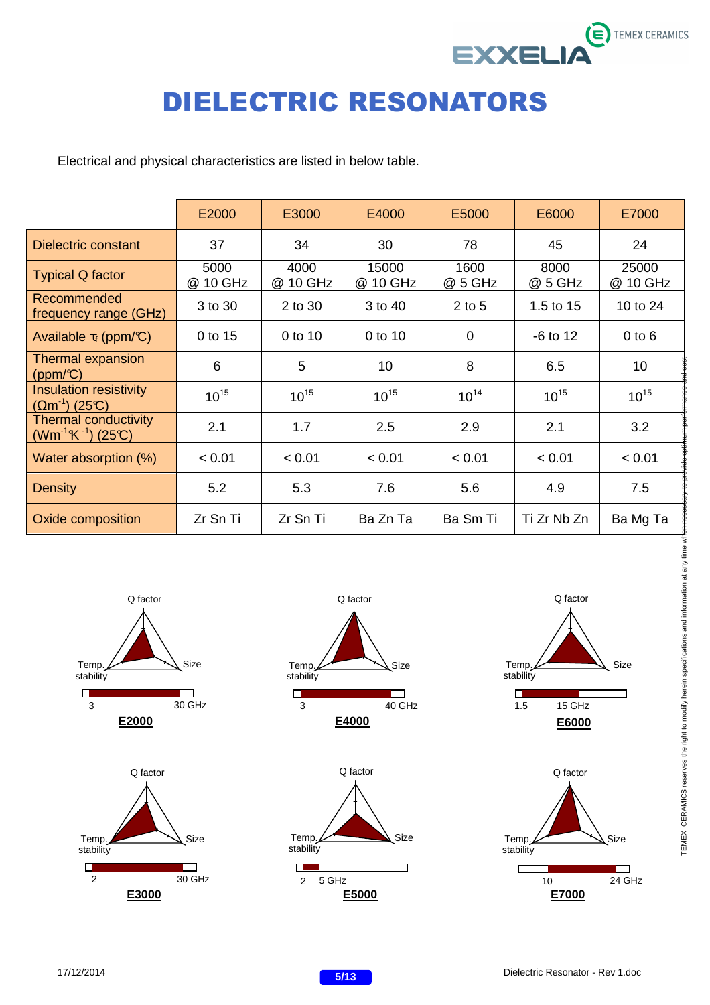

Electrical and physical characteristics are listed in below table.

|                                                           | E2000            | E3000            | E4000             | E5000           | E6000           | E7000             |
|-----------------------------------------------------------|------------------|------------------|-------------------|-----------------|-----------------|-------------------|
| <b>Dielectric constant</b>                                | 37               | 34               | 30                | 78              | 45              | 24                |
| <b>Typical Q factor</b>                                   | 5000<br>@ 10 GHz | 4000<br>@ 10 GHz | 15000<br>@ 10 GHz | 1600<br>@ 5 GHz | 8000<br>@ 5 GHz | 25000<br>@ 10 GHz |
| Recommended<br>frequency range (GHz)                      | 3 to 30          | 2 to 30          | 3 to 40           | $2$ to 5        | 1.5 to 15       | 10 to 24          |
| Available $\tau_f$ (ppm/C)                                | 0 to 15          | 0 to 10          | 0 to 10           | $\mathbf 0$     | $-6$ to 12      | $0$ to $6$        |
| <b>Thermal expansion</b><br>(ppm/C)                       | 6                | 5                | 10                | 8               | 6.5             | 10                |
| <b>Insulation resistivity</b><br>$(\Omega m^{-1})$ (25°C) | $10^{15}$        | $10^{15}$        | $10^{15}$         | $10^{14}$       | $10^{15}$       | $10^{15}$         |
| <b>Thermal conductivity</b><br>$(Wm^{-1}K^{-1})$ (25°C)   | 2.1              | 1.7              | 2.5               | 2.9             | 2.1             | 3.2               |
| Water absorption (%)                                      | < 0.01           | < 0.01           | < 0.01            | < 0.01          | < 0.01          | < 0.01            |
| <b>Density</b>                                            | 5.2              | 5.3              | 7.6               | 5.6             | 4.9             | 7.5               |
| Oxide composition                                         | Zr Sn Ti         | Zr Sn Ti         | Ba Zn Ta          | Ba Sm Ti        | Ti Zr Nb Zn     | Ba Mg Ta          |











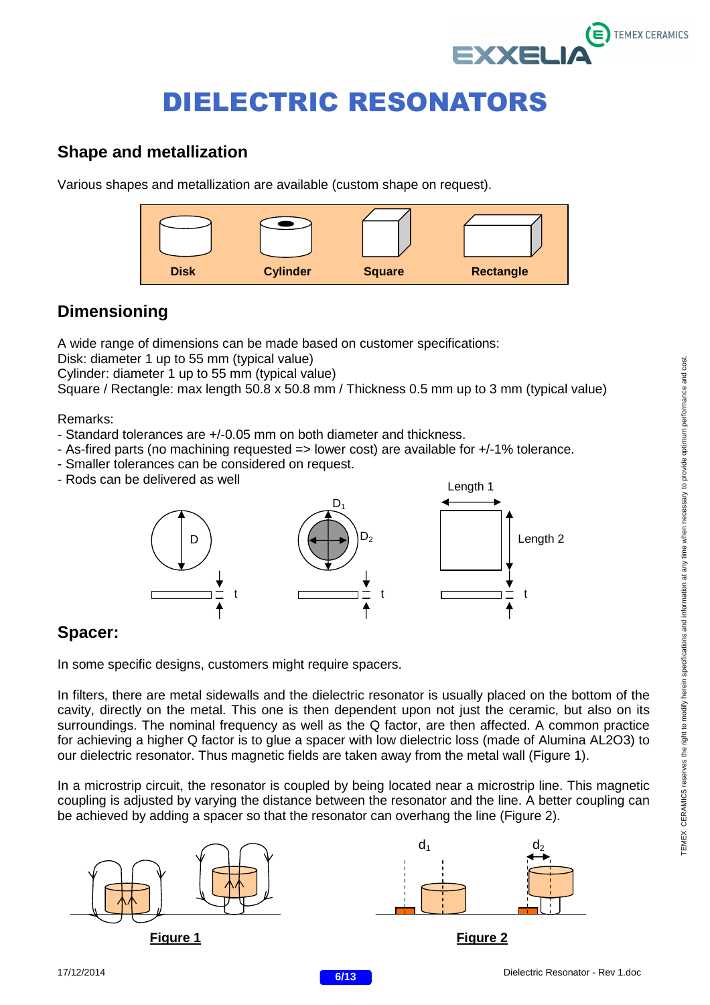

### **Shape and metallization**

Various shapes and metallization are available (custom shape on request).



### **Dimensioning**

A wide range of dimensions can be made based on customer specifications:

Disk: diameter 1 up to 55 mm (typical value)

Cylinder: diameter 1 up to 55 mm (typical value)

Square / Rectangle: max length 50.8 x 50.8 mm / Thickness 0.5 mm up to 3 mm (typical value)

Remarks:

- Standard tolerances are +/-0.05 mm on both diameter and thickness.
- As-fired parts (no machining requested => lower cost) are available for +/-1% tolerance.
- Smaller tolerances can be considered on request.
- Rods can be delivered as well



### **Spacer:**

In some specific designs, customers might require spacers.

In filters, there are metal sidewalls and the dielectric resonator is usually placed on the bottom of the cavity, directly on the metal. This one is then dependent upon not just the ceramic, but also on its surroundings. The nominal frequency as well as the Q factor, are then affected. A common practice for achieving a higher Q factor is to glue a spacer with low dielectric loss (made of Alumina AL2O3) to our dielectric resonator. Thus magnetic fields are taken away from the metal wall (Figure 1).

In a microstrip circuit, the resonator is coupled by being located near a microstrip line. This magnetic coupling is adjusted by varying the distance between the resonator and the line. A better coupling can be achieved by adding a spacer so that the resonator can overhang the line (Figure 2).

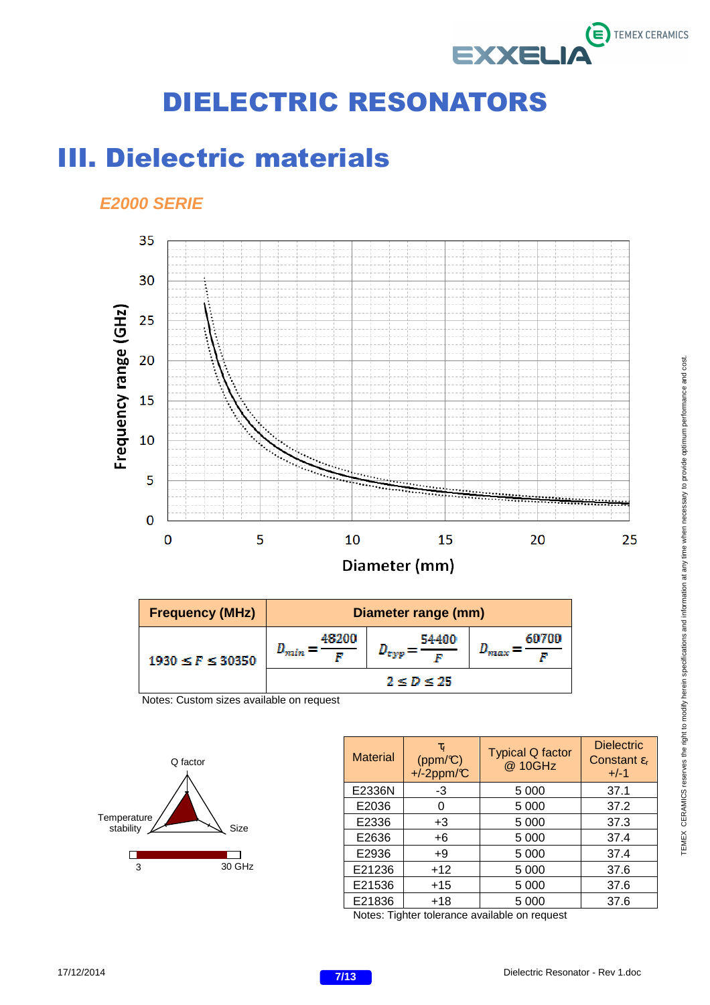

## III. Dielectric materials

#### **E2000 SERIE**



| <b>Frequency (MHz)</b>   | Diameter range (mm)   |            |                              |  |
|--------------------------|-----------------------|------------|------------------------------|--|
| $1930 \leq F \leq 30350$ | 46200<br><u> Hain</u> | 54400      | 60700<br><b><i>PRECE</i></b> |  |
|                          |                       | 2 < D < 25 |                              |  |

Notes: Custom sizes available on request



| <b>Material</b> | $\tau_{\rm f}$<br>$(ppm/\mathbb{C})$<br>$+/-2$ ppm/ $C$ | <b>Typical Q factor</b><br>@ 10GHz | <b>Dielectric</b><br>Constant $\varepsilon_{r}$<br>$+/-1$ |
|-----------------|---------------------------------------------------------|------------------------------------|-----------------------------------------------------------|
| E2336N          | -3                                                      | 5 0 0 0                            | 37.1                                                      |
| E2036           |                                                         | 5 0 0 0                            | 37.2                                                      |
| E2336           | $+3$                                                    | 5 0 0 0                            | 37.3                                                      |
| E2636           | +6                                                      | 5 0 0 0                            | 37.4                                                      |
| E2936           | +9                                                      | 5 0 0 0                            | 37.4                                                      |
| E21236          | $+12$                                                   | 5 0 0 0                            | 37.6                                                      |
| E21536          | $+15$                                                   | 5 0 0 0                            | 37.6                                                      |
| E21836          | $+18$                                                   | 5 0 0 0<br>.                       | 37.6                                                      |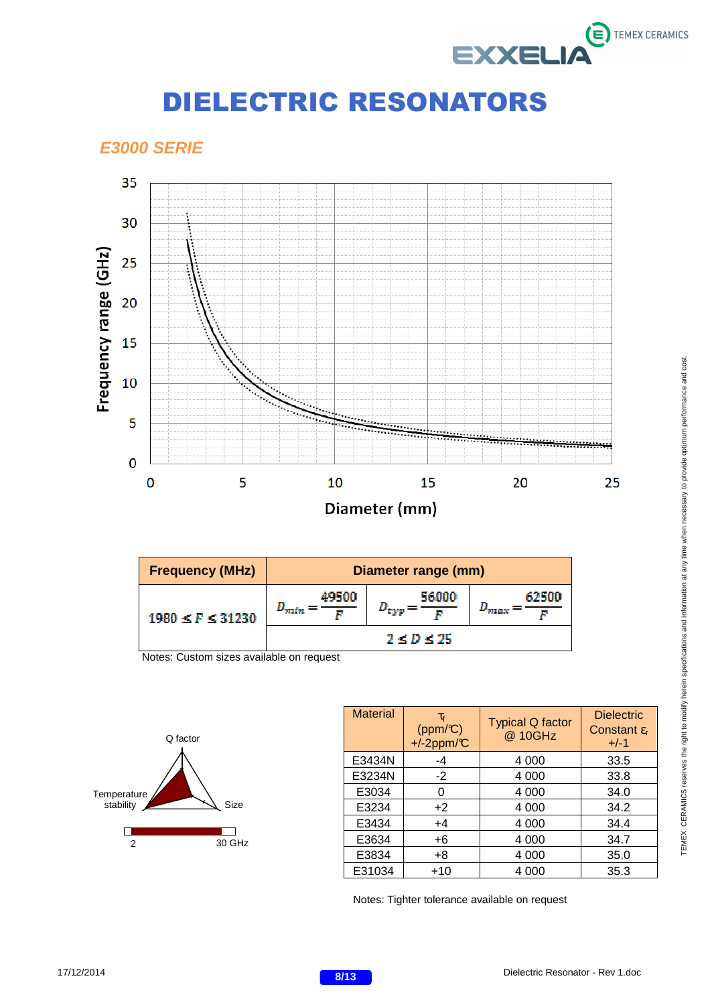

#### **E3000 SERIE**



| <b>Frequency (MHz)</b>   | Diameter range (mm)          |               |                       |  |
|--------------------------|------------------------------|---------------|-----------------------|--|
| $1980 \leq F \leq 31230$ | 49500<br>$\bm{D}_{min}$<br>ν | 56000<br>"typ | 62500<br><b>TALCA</b> |  |
|                          |                              | 2 < D < 25    |                       |  |

Notes: Custom sizes available on request



| <b>Material</b> | $\tau_{\rm f}$<br>$(ppm/\mathbb{C})$<br>$+/-2$ ppm/°C | <b>Typical Q factor</b><br>@ 10GHz | <b>Dielectric</b><br>Constant $\varepsilon_{r}$<br>$+/-1$ |
|-----------------|-------------------------------------------------------|------------------------------------|-----------------------------------------------------------|
| E3434N          | -4                                                    | 4 0 0 0                            | 33.5                                                      |
| E3234N          | $-2$                                                  | 4 0 0 0                            | 33.8                                                      |
| E3034           | O                                                     | 4 0 0 0                            | 34.0                                                      |
| E3234           | $+2$                                                  | 4 0 0 0                            | 34.2                                                      |
| E3434           | $+4$                                                  | 4 0 0 0                            | 34.4                                                      |
| E3634           | $+6$                                                  | 4 0 0 0                            | 34.7                                                      |
| E3834           | $+8$                                                  | 4 0 0 0                            | 35.0                                                      |
| E31034          | $+10$                                                 | 4 000                              | 35.3                                                      |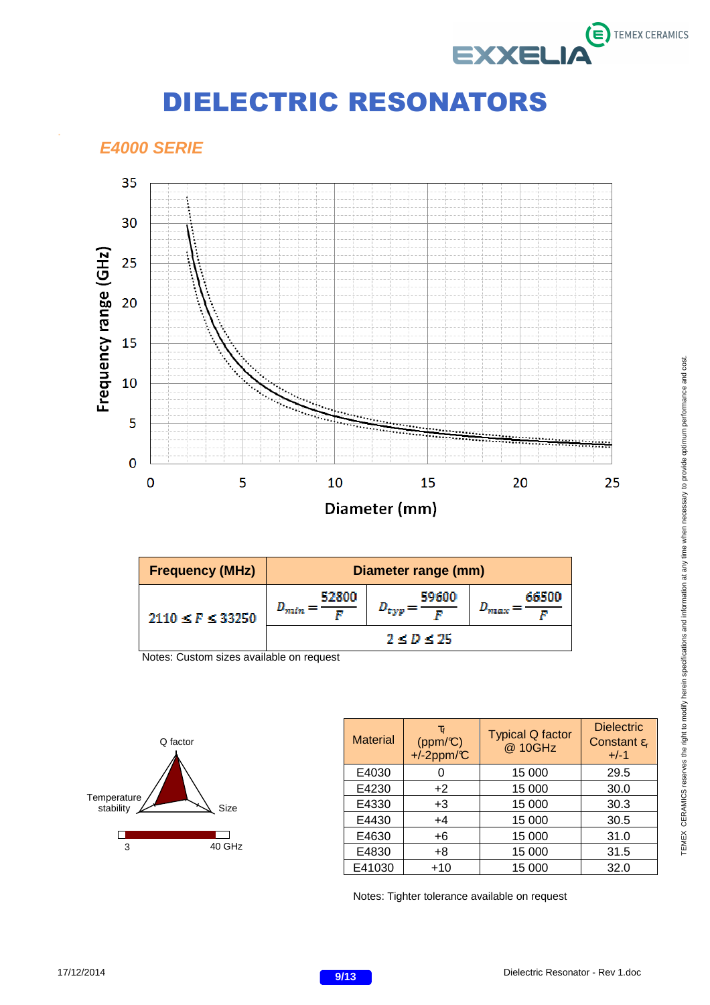

#### **E4000 SERIE**

.



| <b>Frequency (MHz)</b> | Diameter range (mm)     |                  |                 |  |
|------------------------|-------------------------|------------------|-----------------|--|
| $2110 \le F \le 33250$ | 52800<br>$D_{min}$<br>r | 59600<br>n nya   | 66500<br>'naanz |  |
|                        |                         | $2 \le D \le 25$ |                 |  |

Notes: Custom sizes available on request



| <b>Material</b> | $\tau_{\rm f}$<br>$(ppm/\mathbb{C})$<br>$+/-2$ ppm/ $C$ | <b>Typical Q factor</b><br>@ 10GHz | <b>Dielectric</b><br>Constant $\varepsilon_{r}$<br>$+/-1$ |
|-----------------|---------------------------------------------------------|------------------------------------|-----------------------------------------------------------|
| E4030           |                                                         | 15 000                             | 29.5                                                      |
| E4230           | $+2$                                                    | 15 000                             | 30.0                                                      |
| E4330           | $+3$                                                    | 15 000                             | 30.3                                                      |
| E4430           | $+4$                                                    | 15 000                             | 30.5                                                      |
| E4630           | $+6$                                                    | 15 000                             | 31.0                                                      |
| E4830           | $+8$                                                    | 15 000                             | 31.5                                                      |
| E41030          | $+10$                                                   | 15 000                             | 32.0                                                      |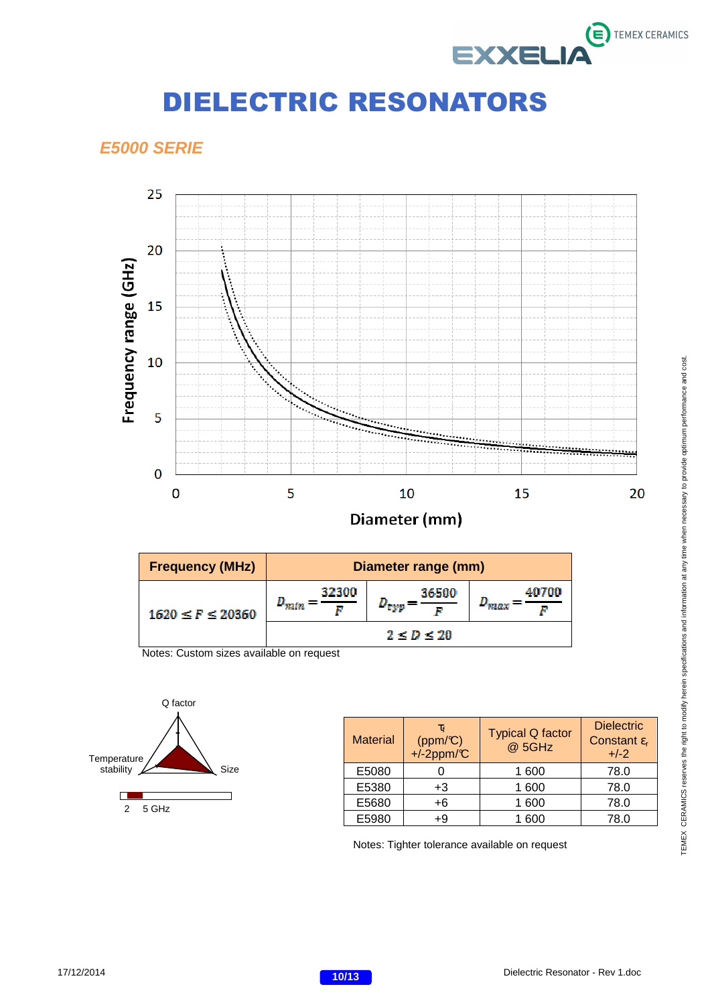

### **E5000 SERIE**



| <b>Frequency (MHz)</b>   | Diameter range (mm) |                 |                       |
|--------------------------|---------------------|-----------------|-----------------------|
| $1620 \leq F \leq 20360$ | 32300<br>$D_{min}$  | 36500<br>' tayp | 40700<br><b>TRACK</b> |
|                          |                     | 2 < D < 20      |                       |

Notes: Custom sizes available on request



| <b>Material</b> | $\tau_{\rm f}$<br>(ppm/C)<br>+/-2ppm/C | <b>Typical Q factor</b><br>@ 5GHz | <b>Dielectric</b><br>Constant $\varepsilon_{r}$<br>$+/-2$ |
|-----------------|----------------------------------------|-----------------------------------|-----------------------------------------------------------|
| E5080           |                                        | 1 600                             | 78.0                                                      |
| E5380           | +3                                     | 1 600                             | 78.0                                                      |
| E5680           | $+6$                                   | 1 600                             | 78.0                                                      |
| E5980           | +9                                     | 600                               | 78.0                                                      |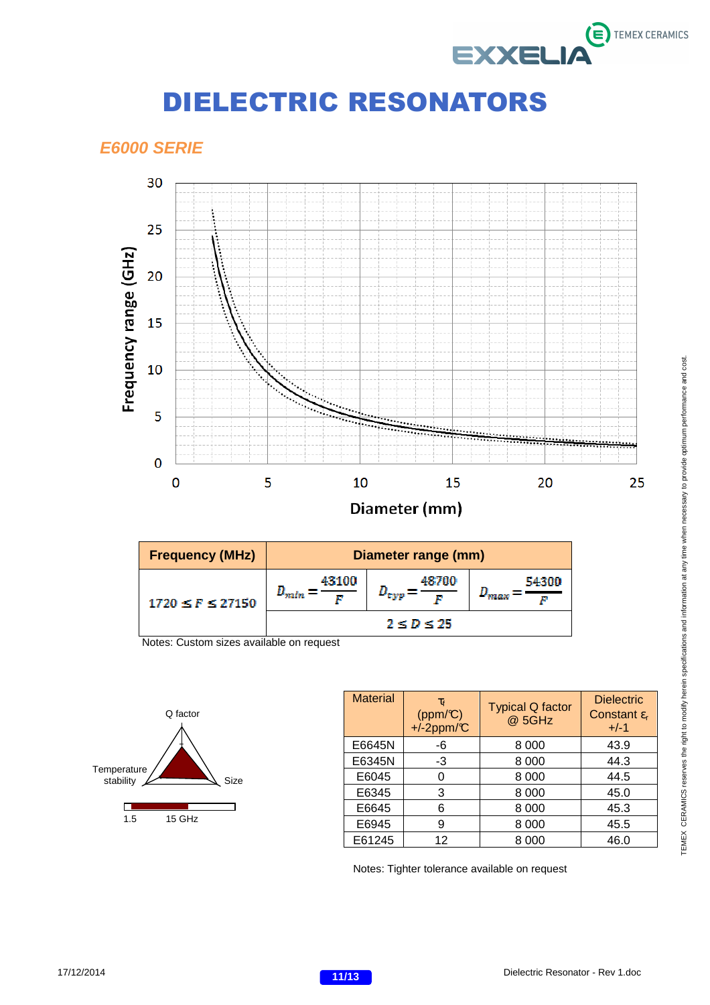

#### **E6000 SERIE**



| <b>Frequency (MHz)</b> | Diameter range (mm) |            |                       |
|------------------------|---------------------|------------|-----------------------|
| 1720 < F < 27150       | 43100<br>10 min     | 48700      | 54300<br><b>TIMES</b> |
|                        |                     | 2 < D < 25 |                       |

Notes: Custom sizes available on request



| <b>Material</b> | $\tau_{\rm f}$<br>$(ppm/\mathbb{C})$<br>+ $i$ -2ppm/ $\mathbb{C}$ | <b>Typical Q factor</b><br>@ 5GHz | <b>Dielectric</b><br>Constant $\varepsilon_{r}$<br>$+/-1$ |
|-----------------|-------------------------------------------------------------------|-----------------------------------|-----------------------------------------------------------|
| E6645N          | -6                                                                | 8 0 0 0                           | 43.9                                                      |
| E6345N          | -3                                                                | 8 0 0 0                           | 44.3                                                      |
| E6045           |                                                                   | 8 0 0 0                           | 44.5                                                      |
| E6345           | 3                                                                 | 8 0 0 0                           | 45.0                                                      |
| E6645           | 6                                                                 | 8 0 0 0                           | 45.3                                                      |
| E6945           | 9                                                                 | 8 0 0 0                           | 45.5                                                      |
| E61245          | 12                                                                | 8 000                             | 46.0                                                      |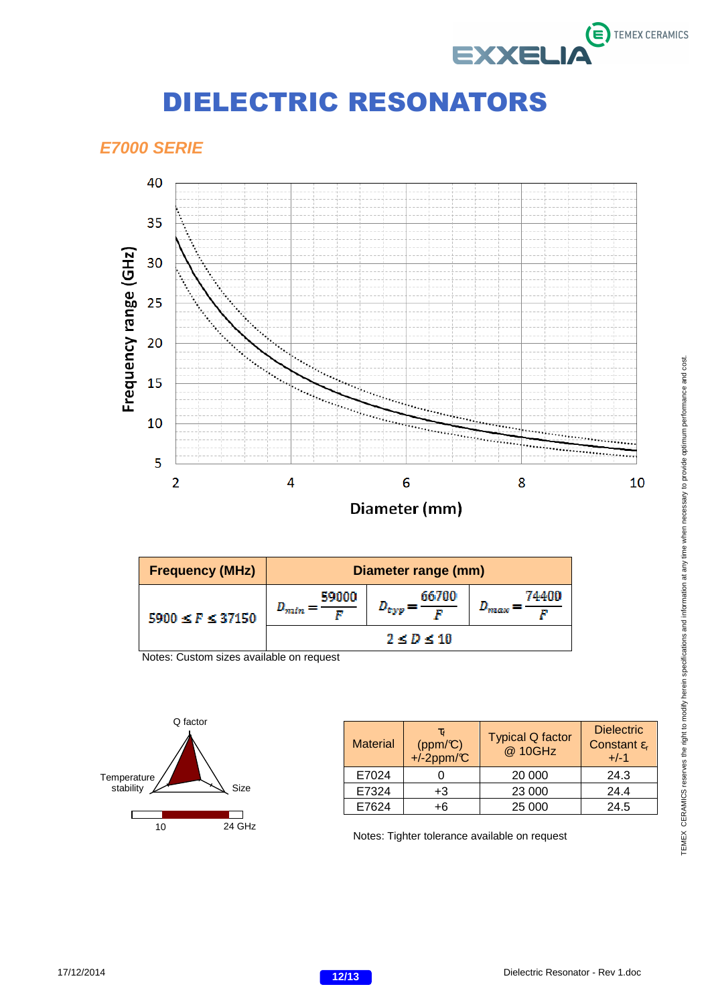

### **E7000 SERIE**



| <b>Frequency (MHz)</b>   | Diameter range (mm)     |                |                              |
|--------------------------|-------------------------|----------------|------------------------------|
| $5900 \leq F \leq 37150$ | 59000<br>$D_{min}$<br>r | 66700<br>"typp | 74400<br><b><i>FREGA</i></b> |
|                          | $2 \le D \le 10$        |                |                              |

Notes: Custom sizes available on request



| <b>Material</b> | τf<br>$(ppm/\mathbb{C})$<br>$+/-2$ ppm/ $C$ | <b>Typical Q factor</b><br>@ 10GHz | <b>Dielectric</b><br>Constant $\varepsilon_r$<br>$+/-1$ |
|-----------------|---------------------------------------------|------------------------------------|---------------------------------------------------------|
| E7024           |                                             | 20 000                             | 24.3                                                    |
| E7324           | +3                                          | 23 000                             | 24.4                                                    |
| E7624           | +6                                          | 25 000                             | 24.5                                                    |

10 24 GHz <br>
Notes: Tighter tolerance available on request